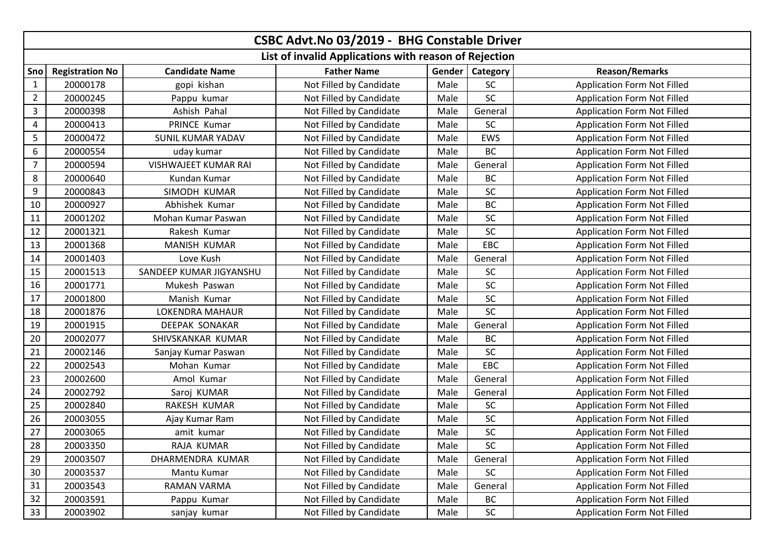|                | CSBC Advt.No 03/2019 - BHG Constable Driver           |                          |                         |        |            |                                    |  |  |  |
|----------------|-------------------------------------------------------|--------------------------|-------------------------|--------|------------|------------------------------------|--|--|--|
|                | List of invalid Applications with reason of Rejection |                          |                         |        |            |                                    |  |  |  |
| Sno            | <b>Registration No</b>                                | <b>Candidate Name</b>    | <b>Father Name</b>      | Gender | Category   | <b>Reason/Remarks</b>              |  |  |  |
| $\mathbf{1}$   | 20000178                                              | gopi kishan              | Not Filled by Candidate | Male   | SC         | Application Form Not Filled        |  |  |  |
| $\overline{2}$ | 20000245                                              | Pappu kumar              | Not Filled by Candidate | Male   | SC         | <b>Application Form Not Filled</b> |  |  |  |
| $\mathbf{3}$   | 20000398                                              | Ashish Pahal             | Not Filled by Candidate | Male   | General    | <b>Application Form Not Filled</b> |  |  |  |
| 4              | 20000413                                              | PRINCE Kumar             | Not Filled by Candidate | Male   | <b>SC</b>  | <b>Application Form Not Filled</b> |  |  |  |
| 5              | 20000472                                              | <b>SUNIL KUMAR YADAV</b> | Not Filled by Candidate | Male   | <b>EWS</b> | <b>Application Form Not Filled</b> |  |  |  |
| 6              | 20000554                                              | uday kumar               | Not Filled by Candidate | Male   | <b>BC</b>  | <b>Application Form Not Filled</b> |  |  |  |
| 7              | 20000594                                              | VISHWAJEET KUMAR RAI     | Not Filled by Candidate | Male   | General    | <b>Application Form Not Filled</b> |  |  |  |
| 8              | 20000640                                              | Kundan Kumar             | Not Filled by Candidate | Male   | BC         | <b>Application Form Not Filled</b> |  |  |  |
| 9              | 20000843                                              | SIMODH KUMAR             | Not Filled by Candidate | Male   | SC         | <b>Application Form Not Filled</b> |  |  |  |
| 10             | 20000927                                              | Abhishek Kumar           | Not Filled by Candidate | Male   | BC         | <b>Application Form Not Filled</b> |  |  |  |
| 11             | 20001202                                              | Mohan Kumar Paswan       | Not Filled by Candidate | Male   | SC         | <b>Application Form Not Filled</b> |  |  |  |
| 12             | 20001321                                              | Rakesh Kumar             | Not Filled by Candidate | Male   | SC         | <b>Application Form Not Filled</b> |  |  |  |
| 13             | 20001368                                              | MANISH KUMAR             | Not Filled by Candidate | Male   | EBC        | <b>Application Form Not Filled</b> |  |  |  |
| 14             | 20001403                                              | Love Kush                | Not Filled by Candidate | Male   | General    | <b>Application Form Not Filled</b> |  |  |  |
| 15             | 20001513                                              | SANDEEP KUMAR JIGYANSHU  | Not Filled by Candidate | Male   | SC         | <b>Application Form Not Filled</b> |  |  |  |
| 16             | 20001771                                              | Mukesh Paswan            | Not Filled by Candidate | Male   | SC         | <b>Application Form Not Filled</b> |  |  |  |
| 17             | 20001800                                              | Manish Kumar             | Not Filled by Candidate | Male   | <b>SC</b>  | <b>Application Form Not Filled</b> |  |  |  |
| 18             | 20001876                                              | LOKENDRA MAHAUR          | Not Filled by Candidate | Male   | <b>SC</b>  | <b>Application Form Not Filled</b> |  |  |  |
| 19             | 20001915                                              | <b>DEEPAK SONAKAR</b>    | Not Filled by Candidate | Male   | General    | <b>Application Form Not Filled</b> |  |  |  |
| 20             | 20002077                                              | SHIVSKANKAR KUMAR        | Not Filled by Candidate | Male   | <b>BC</b>  | <b>Application Form Not Filled</b> |  |  |  |
| 21             | 20002146                                              | Sanjay Kumar Paswan      | Not Filled by Candidate | Male   | <b>SC</b>  | <b>Application Form Not Filled</b> |  |  |  |
| 22             | 20002543                                              | Mohan Kumar              | Not Filled by Candidate | Male   | EBC        | Application Form Not Filled        |  |  |  |
| 23             | 20002600                                              | Amol Kumar               | Not Filled by Candidate | Male   | General    | Application Form Not Filled        |  |  |  |
| 24             | 20002792                                              | Saroj KUMAR              | Not Filled by Candidate | Male   | General    | <b>Application Form Not Filled</b> |  |  |  |
| 25             | 20002840                                              | RAKESH KUMAR             | Not Filled by Candidate | Male   | SC         | <b>Application Form Not Filled</b> |  |  |  |
| 26             | 20003055                                              | Ajay Kumar Ram           | Not Filled by Candidate | Male   | <b>SC</b>  | <b>Application Form Not Filled</b> |  |  |  |
| 27             | 20003065                                              | amit kumar               | Not Filled by Candidate | Male   | SC         | <b>Application Form Not Filled</b> |  |  |  |
| 28             | 20003350                                              | RAJA KUMAR               | Not Filled by Candidate | Male   | SC         | Application Form Not Filled        |  |  |  |
| 29             | 20003507                                              | DHARMENDRA KUMAR         | Not Filled by Candidate | Male   | General    | <b>Application Form Not Filled</b> |  |  |  |
| 30             | 20003537                                              | Mantu Kumar              | Not Filled by Candidate | Male   | <b>SC</b>  | <b>Application Form Not Filled</b> |  |  |  |
| 31             | 20003543                                              | RAMAN VARMA              | Not Filled by Candidate | Male   | General    | <b>Application Form Not Filled</b> |  |  |  |
| 32             | 20003591                                              | Pappu Kumar              | Not Filled by Candidate | Male   | BC         | <b>Application Form Not Filled</b> |  |  |  |
| 33             | 20003902                                              | sanjay kumar             | Not Filled by Candidate | Male   | SC         | <b>Application Form Not Filled</b> |  |  |  |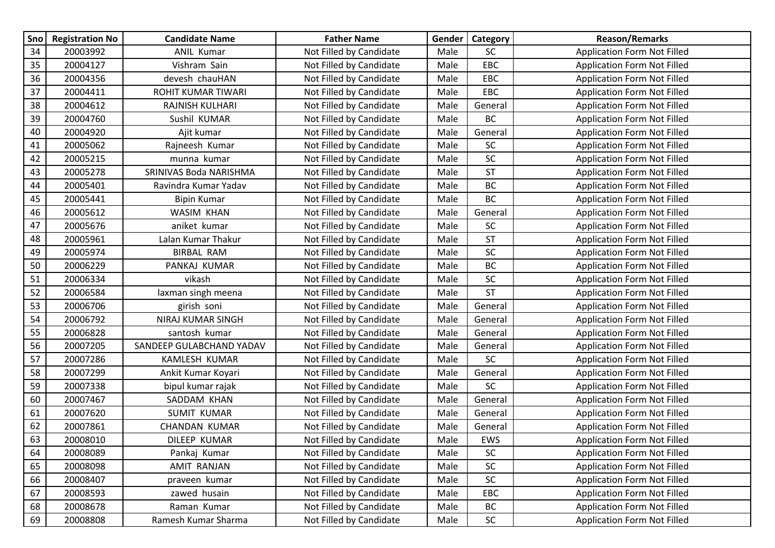| Sno | <b>Registration No</b> | <b>Candidate Name</b>    | <b>Father Name</b>      | Gender | Category   | <b>Reason/Remarks</b>              |
|-----|------------------------|--------------------------|-------------------------|--------|------------|------------------------------------|
| 34  | 20003992               | <b>ANIL Kumar</b>        | Not Filled by Candidate | Male   | <b>SC</b>  | <b>Application Form Not Filled</b> |
| 35  | 20004127               | Vishram Sain             | Not Filled by Candidate | Male   | EBC        | <b>Application Form Not Filled</b> |
| 36  | 20004356               | devesh chauHAN           | Not Filled by Candidate | Male   | EBC        | <b>Application Form Not Filled</b> |
| 37  | 20004411               | ROHIT KUMAR TIWARI       | Not Filled by Candidate | Male   | EBC        | <b>Application Form Not Filled</b> |
| 38  | 20004612               | RAJNISH KULHARI          | Not Filled by Candidate | Male   | General    | <b>Application Form Not Filled</b> |
| 39  | 20004760               | Sushil KUMAR             | Not Filled by Candidate | Male   | BC         | <b>Application Form Not Filled</b> |
| 40  | 20004920               | Ajit kumar               | Not Filled by Candidate | Male   | General    | <b>Application Form Not Filled</b> |
| 41  | 20005062               | Rajneesh Kumar           | Not Filled by Candidate | Male   | <b>SC</b>  | <b>Application Form Not Filled</b> |
| 42  | 20005215               | munna kumar              | Not Filled by Candidate | Male   | <b>SC</b>  | <b>Application Form Not Filled</b> |
| 43  | 20005278               | SRINIVAS Boda NARISHMA   | Not Filled by Candidate | Male   | <b>ST</b>  | <b>Application Form Not Filled</b> |
| 44  | 20005401               | Ravindra Kumar Yadav     | Not Filled by Candidate | Male   | BC         | <b>Application Form Not Filled</b> |
| 45  | 20005441               | <b>Bipin Kumar</b>       | Not Filled by Candidate | Male   | <b>BC</b>  | <b>Application Form Not Filled</b> |
| 46  | 20005612               | <b>WASIM KHAN</b>        | Not Filled by Candidate | Male   | General    | <b>Application Form Not Filled</b> |
| 47  | 20005676               | aniket kumar             | Not Filled by Candidate | Male   | <b>SC</b>  | <b>Application Form Not Filled</b> |
| 48  | 20005961               | Lalan Kumar Thakur       | Not Filled by Candidate | Male   | <b>ST</b>  | <b>Application Form Not Filled</b> |
| 49  | 20005974               | <b>BIRBAL RAM</b>        | Not Filled by Candidate | Male   | <b>SC</b>  | <b>Application Form Not Filled</b> |
| 50  | 20006229               | PANKAJ KUMAR             | Not Filled by Candidate | Male   | <b>BC</b>  | <b>Application Form Not Filled</b> |
| 51  | 20006334               | vikash                   | Not Filled by Candidate | Male   | SC         | <b>Application Form Not Filled</b> |
| 52  | 20006584               | laxman singh meena       | Not Filled by Candidate | Male   | <b>ST</b>  | <b>Application Form Not Filled</b> |
| 53  | 20006706               | girish soni              | Not Filled by Candidate | Male   | General    | <b>Application Form Not Filled</b> |
| 54  | 20006792               | NIRAJ KUMAR SINGH        | Not Filled by Candidate | Male   | General    | <b>Application Form Not Filled</b> |
| 55  | 20006828               | santosh kumar            | Not Filled by Candidate | Male   | General    | <b>Application Form Not Filled</b> |
| 56  | 20007205               | SANDEEP GULABCHAND YADAV | Not Filled by Candidate | Male   | General    | <b>Application Form Not Filled</b> |
| 57  | 20007286               | <b>KAMLESH KUMAR</b>     | Not Filled by Candidate | Male   | SC         | <b>Application Form Not Filled</b> |
| 58  | 20007299               | Ankit Kumar Koyari       | Not Filled by Candidate | Male   | General    | <b>Application Form Not Filled</b> |
| 59  | 20007338               | bipul kumar rajak        | Not Filled by Candidate | Male   | SC         | <b>Application Form Not Filled</b> |
| 60  | 20007467               | SADDAM KHAN              | Not Filled by Candidate | Male   | General    | <b>Application Form Not Filled</b> |
| 61  | 20007620               | <b>SUMIT KUMAR</b>       | Not Filled by Candidate | Male   | General    | <b>Application Form Not Filled</b> |
| 62  | 20007861               | <b>CHANDAN KUMAR</b>     | Not Filled by Candidate | Male   | General    | <b>Application Form Not Filled</b> |
| 63  | 20008010               | DILEEP KUMAR             | Not Filled by Candidate | Male   | EWS        | <b>Application Form Not Filled</b> |
| 64  | 20008089               | Pankaj Kumar             | Not Filled by Candidate | Male   | <b>SC</b>  | <b>Application Form Not Filled</b> |
| 65  | 20008098               | <b>AMIT RANJAN</b>       | Not Filled by Candidate | Male   | SC         | <b>Application Form Not Filled</b> |
| 66  | 20008407               | praveen kumar            | Not Filled by Candidate | Male   | <b>SC</b>  | <b>Application Form Not Filled</b> |
| 67  | 20008593               | zawed husain             | Not Filled by Candidate | Male   | EBC        | <b>Application Form Not Filled</b> |
| 68  | 20008678               | Raman Kumar              | Not Filled by Candidate | Male   | BC         | Application Form Not Filled        |
| 69  | 20008808               | Ramesh Kumar Sharma      | Not Filled by Candidate | Male   | ${\sf SC}$ | <b>Application Form Not Filled</b> |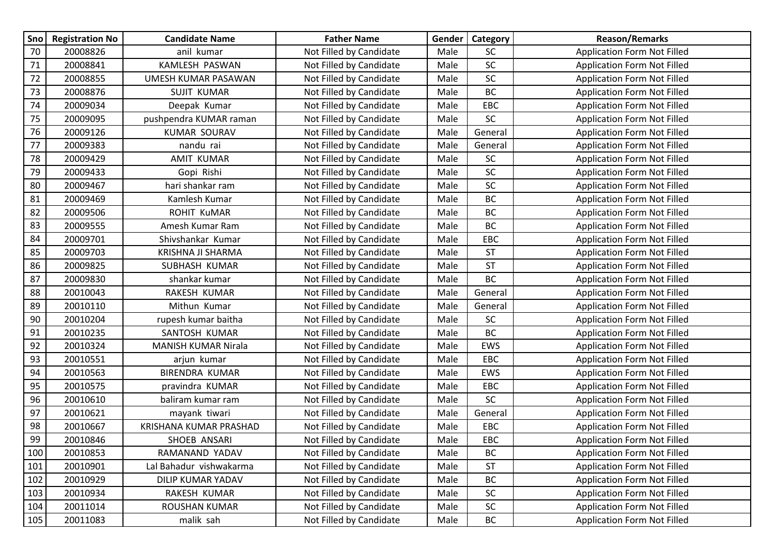| Sno | <b>Registration No</b> | <b>Candidate Name</b>         | <b>Father Name</b>      | Gender | Category   | <b>Reason/Remarks</b>              |
|-----|------------------------|-------------------------------|-------------------------|--------|------------|------------------------------------|
| 70  | 20008826               | anil kumar                    | Not Filled by Candidate | Male   | <b>SC</b>  | <b>Application Form Not Filled</b> |
| 71  | 20008841               | KAMLESH PASWAN                | Not Filled by Candidate | Male   | SC         | <b>Application Form Not Filled</b> |
| 72  | 20008855               | UMESH KUMAR PASAWAN           | Not Filled by Candidate | Male   | SC         | <b>Application Form Not Filled</b> |
| 73  | 20008876               | <b>SUJIT KUMAR</b>            | Not Filled by Candidate | Male   | <b>BC</b>  | <b>Application Form Not Filled</b> |
| 74  | 20009034               | Deepak Kumar                  | Not Filled by Candidate | Male   | EBC        | <b>Application Form Not Filled</b> |
| 75  | 20009095               | pushpendra KUMAR raman        | Not Filled by Candidate | Male   | SC         | <b>Application Form Not Filled</b> |
| 76  | 20009126               | <b>KUMAR SOURAV</b>           | Not Filled by Candidate | Male   | General    | <b>Application Form Not Filled</b> |
| 77  | 20009383               | nandu rai                     | Not Filled by Candidate | Male   | General    | <b>Application Form Not Filled</b> |
| 78  | 20009429               | <b>AMIT KUMAR</b>             | Not Filled by Candidate | Male   | SC         | <b>Application Form Not Filled</b> |
| 79  | 20009433               | Gopi Rishi                    | Not Filled by Candidate | Male   | SC         | Application Form Not Filled        |
| 80  | 20009467               | hari shankar ram              | Not Filled by Candidate | Male   | SC         | <b>Application Form Not Filled</b> |
| 81  | 20009469               | Kamlesh Kumar                 | Not Filled by Candidate | Male   | BC         | <b>Application Form Not Filled</b> |
| 82  | 20009506               | <b>ROHIT KuMAR</b>            | Not Filled by Candidate | Male   | BC         | <b>Application Form Not Filled</b> |
| 83  | 20009555               | Amesh Kumar Ram               | Not Filled by Candidate | Male   | BC         | <b>Application Form Not Filled</b> |
| 84  | 20009701               | Shivshankar Kumar             | Not Filled by Candidate | Male   | EBC        | <b>Application Form Not Filled</b> |
| 85  | 20009703               | KRISHNA JI SHARMA             | Not Filled by Candidate | Male   | <b>ST</b>  | <b>Application Form Not Filled</b> |
| 86  | 20009825               | <b>SUBHASH KUMAR</b>          | Not Filled by Candidate | Male   | <b>ST</b>  | <b>Application Form Not Filled</b> |
| 87  | 20009830               | shankar kumar                 | Not Filled by Candidate | Male   | BC         | <b>Application Form Not Filled</b> |
| 88  | 20010043               | RAKESH KUMAR                  | Not Filled by Candidate | Male   | General    | <b>Application Form Not Filled</b> |
| 89  | 20010110               | Mithun Kumar                  | Not Filled by Candidate | Male   | General    | Application Form Not Filled        |
| 90  | 20010204               | rupesh kumar baitha           | Not Filled by Candidate | Male   | SC         | <b>Application Form Not Filled</b> |
| 91  | 20010235               | SANTOSH KUMAR                 | Not Filled by Candidate | Male   | <b>BC</b>  | <b>Application Form Not Filled</b> |
| 92  | 20010324               | <b>MANISH KUMAR Nirala</b>    | Not Filled by Candidate | Male   | EWS        | <b>Application Form Not Filled</b> |
| 93  | 20010551               | arjun kumar                   | Not Filled by Candidate | Male   | EBC        | <b>Application Form Not Filled</b> |
| 94  | 20010563               | <b>BIRENDRA KUMAR</b>         | Not Filled by Candidate | Male   | EWS        | <b>Application Form Not Filled</b> |
| 95  | 20010575               | pravindra KUMAR               | Not Filled by Candidate | Male   | EBC        | <b>Application Form Not Filled</b> |
| 96  | 20010610               | baliram kumar ram             | Not Filled by Candidate | Male   | SC         | <b>Application Form Not Filled</b> |
| 97  | 20010621               | mayank tiwari                 | Not Filled by Candidate | Male   | General    | <b>Application Form Not Filled</b> |
| 98  | 20010667               | <b>KRISHANA KUMAR PRASHAD</b> | Not Filled by Candidate | Male   | EBC        | <b>Application Form Not Filled</b> |
| 99  | 20010846               | SHOEB ANSARI                  | Not Filled by Candidate | Male   | EBC        | <b>Application Form Not Filled</b> |
| 100 | 20010853               | RAMANAND YADAV                | Not Filled by Candidate | Male   | BC         | <b>Application Form Not Filled</b> |
| 101 | 20010901               | Lal Bahadur vishwakarma       | Not Filled by Candidate | Male   | <b>ST</b>  | <b>Application Form Not Filled</b> |
| 102 | 20010929               | DILIP KUMAR YADAV             | Not Filled by Candidate | Male   | BC         | <b>Application Form Not Filled</b> |
| 103 | 20010934               | RAKESH KUMAR                  | Not Filled by Candidate | Male   | SC         | Application Form Not Filled        |
| 104 | 20011014               | ROUSHAN KUMAR                 | Not Filled by Candidate | Male   | ${\sf SC}$ | <b>Application Form Not Filled</b> |
| 105 | 20011083               | malik sah                     | Not Filled by Candidate | Male   | BC         | <b>Application Form Not Filled</b> |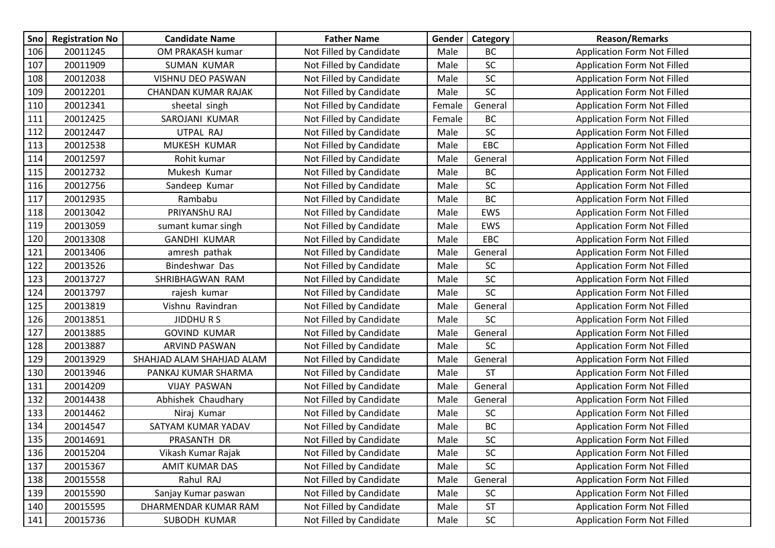| Sno | <b>Registration No</b> | <b>Candidate Name</b>      | <b>Father Name</b>      | Gender | Category   | <b>Reason/Remarks</b>              |
|-----|------------------------|----------------------------|-------------------------|--------|------------|------------------------------------|
| 106 | 20011245               | OM PRAKASH kumar           | Not Filled by Candidate | Male   | <b>BC</b>  | <b>Application Form Not Filled</b> |
| 107 | 20011909               | <b>SUMAN KUMAR</b>         | Not Filled by Candidate | Male   | <b>SC</b>  | <b>Application Form Not Filled</b> |
| 108 | 20012038               | VISHNU DEO PASWAN          | Not Filled by Candidate | Male   | SC         | <b>Application Form Not Filled</b> |
| 109 | 20012201               | <b>CHANDAN KUMAR RAJAK</b> | Not Filled by Candidate | Male   | SC         | Application Form Not Filled        |
| 110 | 20012341               | sheetal singh              | Not Filled by Candidate | Female | General    | <b>Application Form Not Filled</b> |
| 111 | 20012425               | SAROJANI KUMAR             | Not Filled by Candidate | Female | BC         | <b>Application Form Not Filled</b> |
| 112 | 20012447               | UTPAL RAJ                  | Not Filled by Candidate | Male   | <b>SC</b>  | <b>Application Form Not Filled</b> |
| 113 | 20012538               | MUKESH KUMAR               | Not Filled by Candidate | Male   | EBC        | <b>Application Form Not Filled</b> |
| 114 | 20012597               | Rohit kumar                | Not Filled by Candidate | Male   | General    | <b>Application Form Not Filled</b> |
| 115 | 20012732               | Mukesh Kumar               | Not Filled by Candidate | Male   | <b>BC</b>  | <b>Application Form Not Filled</b> |
| 116 | 20012756               | Sandeep Kumar              | Not Filled by Candidate | Male   | SC         | <b>Application Form Not Filled</b> |
| 117 | 20012935               | Rambabu                    | Not Filled by Candidate | Male   | <b>BC</b>  | <b>Application Form Not Filled</b> |
| 118 | 20013042               | PRIYANShU RAJ              | Not Filled by Candidate | Male   | EWS        | <b>Application Form Not Filled</b> |
| 119 | 20013059               | sumant kumar singh         | Not Filled by Candidate | Male   | EWS        | <b>Application Form Not Filled</b> |
| 120 | 20013308               | <b>GANDHI KUMAR</b>        | Not Filled by Candidate | Male   | EBC        | <b>Application Form Not Filled</b> |
| 121 | 20013406               | amresh pathak              | Not Filled by Candidate | Male   | General    | <b>Application Form Not Filled</b> |
| 122 | 20013526               | Bindeshwar Das             | Not Filled by Candidate | Male   | SC         | <b>Application Form Not Filled</b> |
| 123 | 20013727               | SHRIBHAGWAN RAM            | Not Filled by Candidate | Male   | <b>SC</b>  | <b>Application Form Not Filled</b> |
| 124 | 20013797               | rajesh kumar               | Not Filled by Candidate | Male   | <b>SC</b>  | <b>Application Form Not Filled</b> |
| 125 | 20013819               | Vishnu Ravindran           | Not Filled by Candidate | Male   | General    | <b>Application Form Not Filled</b> |
| 126 | 20013851               | <b>JIDDHURS</b>            | Not Filled by Candidate | Male   | <b>SC</b>  | <b>Application Form Not Filled</b> |
| 127 | 20013885               | <b>GOVIND KUMAR</b>        | Not Filled by Candidate | Male   | General    | <b>Application Form Not Filled</b> |
| 128 | 20013887               | ARVIND PASWAN              | Not Filled by Candidate | Male   | <b>SC</b>  | <b>Application Form Not Filled</b> |
| 129 | 20013929               | SHAHJAD ALAM SHAHJAD ALAM  | Not Filled by Candidate | Male   | General    | <b>Application Form Not Filled</b> |
| 130 | 20013946               | PANKAJ KUMAR SHARMA        | Not Filled by Candidate | Male   | <b>ST</b>  | <b>Application Form Not Filled</b> |
| 131 | 20014209               | <b>VIJAY PASWAN</b>        | Not Filled by Candidate | Male   | General    | <b>Application Form Not Filled</b> |
| 132 | 20014438               | Abhishek Chaudhary         | Not Filled by Candidate | Male   | General    | <b>Application Form Not Filled</b> |
| 133 | 20014462               | Niraj Kumar                | Not Filled by Candidate | Male   | SC         | Application Form Not Filled        |
| 134 | 20014547               | SATYAM KUMAR YADAV         | Not Filled by Candidate | Male   | <b>BC</b>  | Application Form Not Filled        |
| 135 | 20014691               | PRASANTH DR                | Not Filled by Candidate | Male   | SC         | <b>Application Form Not Filled</b> |
| 136 | 20015204               | Vikash Kumar Rajak         | Not Filled by Candidate | Male   | <b>SC</b>  | <b>Application Form Not Filled</b> |
| 137 | 20015367               | <b>AMIT KUMAR DAS</b>      | Not Filled by Candidate | Male   | SC         | <b>Application Form Not Filled</b> |
| 138 | 20015558               | Rahul RAJ                  | Not Filled by Candidate | Male   | General    | <b>Application Form Not Filled</b> |
| 139 | 20015590               | Sanjay Kumar paswan        | Not Filled by Candidate | Male   | SC         | <b>Application Form Not Filled</b> |
| 140 | 20015595               | DHARMENDAR KUMAR RAM       | Not Filled by Candidate | Male   | <b>ST</b>  | <b>Application Form Not Filled</b> |
| 141 | 20015736               | SUBODH KUMAR               | Not Filled by Candidate | Male   | ${\sf SC}$ | <b>Application Form Not Filled</b> |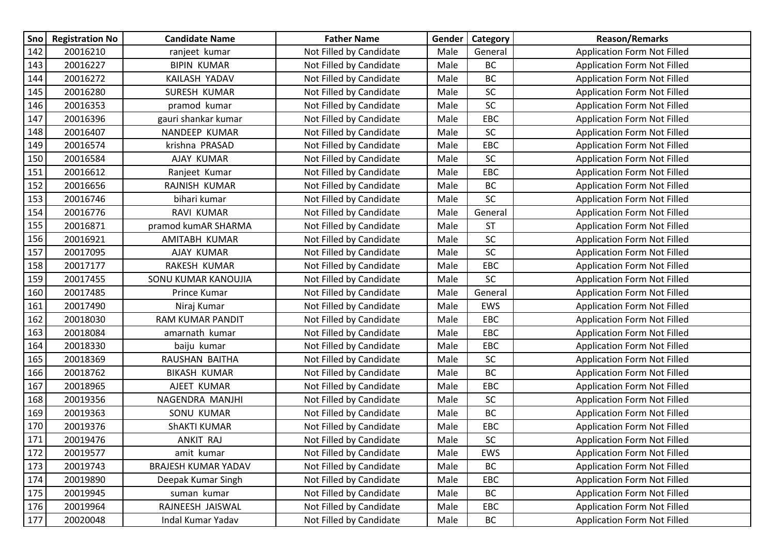| Sno | <b>Registration No</b> | <b>Candidate Name</b>      | <b>Father Name</b>      | Gender <sup>1</sup> | Category   | <b>Reason/Remarks</b>              |
|-----|------------------------|----------------------------|-------------------------|---------------------|------------|------------------------------------|
| 142 | 20016210               | ranjeet kumar              | Not Filled by Candidate | Male                | General    | <b>Application Form Not Filled</b> |
| 143 | 20016227               | <b>BIPIN KUMAR</b>         | Not Filled by Candidate | Male                | BC         | Application Form Not Filled        |
| 144 | 20016272               | KAILASH YADAV              | Not Filled by Candidate | Male                | BC         | <b>Application Form Not Filled</b> |
| 145 | 20016280               | SURESH KUMAR               | Not Filled by Candidate | Male                | SC         | <b>Application Form Not Filled</b> |
| 146 | 20016353               | pramod kumar               | Not Filled by Candidate | Male                | SC         | <b>Application Form Not Filled</b> |
| 147 | 20016396               | gauri shankar kumar        | Not Filled by Candidate | Male                | EBC        | <b>Application Form Not Filled</b> |
| 148 | 20016407               | NANDEEP KUMAR              | Not Filled by Candidate | Male                | <b>SC</b>  | <b>Application Form Not Filled</b> |
| 149 | 20016574               | krishna PRASAD             | Not Filled by Candidate | Male                | EBC        | <b>Application Form Not Filled</b> |
| 150 | 20016584               | AJAY KUMAR                 | Not Filled by Candidate | Male                | <b>SC</b>  | <b>Application Form Not Filled</b> |
| 151 | 20016612               | Ranjeet Kumar              | Not Filled by Candidate | Male                | EBC        | Application Form Not Filled        |
| 152 | 20016656               | RAJNISH KUMAR              | Not Filled by Candidate | Male                | BC         | <b>Application Form Not Filled</b> |
| 153 | 20016746               | bihari kumar               | Not Filled by Candidate | Male                | <b>SC</b>  | <b>Application Form Not Filled</b> |
| 154 | 20016776               | RAVI KUMAR                 | Not Filled by Candidate | Male                | General    | <b>Application Form Not Filled</b> |
| 155 | 20016871               | pramod kumAR SHARMA        | Not Filled by Candidate | Male                | <b>ST</b>  | <b>Application Form Not Filled</b> |
| 156 | 20016921               | AMITABH KUMAR              | Not Filled by Candidate | Male                | SC         | <b>Application Form Not Filled</b> |
| 157 | 20017095               | AJAY KUMAR                 | Not Filled by Candidate | Male                | SC         | <b>Application Form Not Filled</b> |
| 158 | 20017177               | RAKESH KUMAR               | Not Filled by Candidate | Male                | EBC        | <b>Application Form Not Filled</b> |
| 159 | 20017455               | SONU KUMAR KANOUJIA        | Not Filled by Candidate | Male                | <b>SC</b>  | <b>Application Form Not Filled</b> |
| 160 | 20017485               | Prince Kumar               | Not Filled by Candidate | Male                | General    | <b>Application Form Not Filled</b> |
| 161 | 20017490               | Niraj Kumar                | Not Filled by Candidate | Male                | EWS        | <b>Application Form Not Filled</b> |
| 162 | 20018030               | <b>RAM KUMAR PANDIT</b>    | Not Filled by Candidate | Male                | <b>EBC</b> | Application Form Not Filled        |
| 163 | 20018084               | amarnath kumar             | Not Filled by Candidate | Male                | EBC        | <b>Application Form Not Filled</b> |
| 164 | 20018330               | baiju kumar                | Not Filled by Candidate | Male                | EBC        | <b>Application Form Not Filled</b> |
| 165 | 20018369               | RAUSHAN BAITHA             | Not Filled by Candidate | Male                | SC         | <b>Application Form Not Filled</b> |
| 166 | 20018762               | <b>BIKASH KUMAR</b>        | Not Filled by Candidate | Male                | BC         | <b>Application Form Not Filled</b> |
| 167 | 20018965               | AJEET KUMAR                | Not Filled by Candidate | Male                | EBC        | <b>Application Form Not Filled</b> |
| 168 | 20019356               | NAGENDRA MANJHI            | Not Filled by Candidate | Male                | <b>SC</b>  | <b>Application Form Not Filled</b> |
| 169 | 20019363               | SONU KUMAR                 | Not Filled by Candidate | Male                | BC         | <b>Application Form Not Filled</b> |
| 170 | 20019376               | <b>ShAKTI KUMAR</b>        | Not Filled by Candidate | Male                | EBC        | <b>Application Form Not Filled</b> |
| 171 | 20019476               | ANKIT RAJ                  | Not Filled by Candidate | Male                | SC         | <b>Application Form Not Filled</b> |
| 172 | 20019577               | amit kumar                 | Not Filled by Candidate | Male                | EWS        | <b>Application Form Not Filled</b> |
| 173 | 20019743               | <b>BRAJESH KUMAR YADAV</b> | Not Filled by Candidate | Male                | BC         | <b>Application Form Not Filled</b> |
| 174 | 20019890               | Deepak Kumar Singh         | Not Filled by Candidate | Male                | EBC        | Application Form Not Filled        |
| 175 | 20019945               | suman kumar                | Not Filled by Candidate | Male                | BC         | <b>Application Form Not Filled</b> |
| 176 | 20019964               | RAJNEESH JAISWAL           | Not Filled by Candidate | Male                | EBC        | Application Form Not Filled        |
| 177 | 20020048               | Indal Kumar Yadav          | Not Filled by Candidate | Male                | BC         | <b>Application Form Not Filled</b> |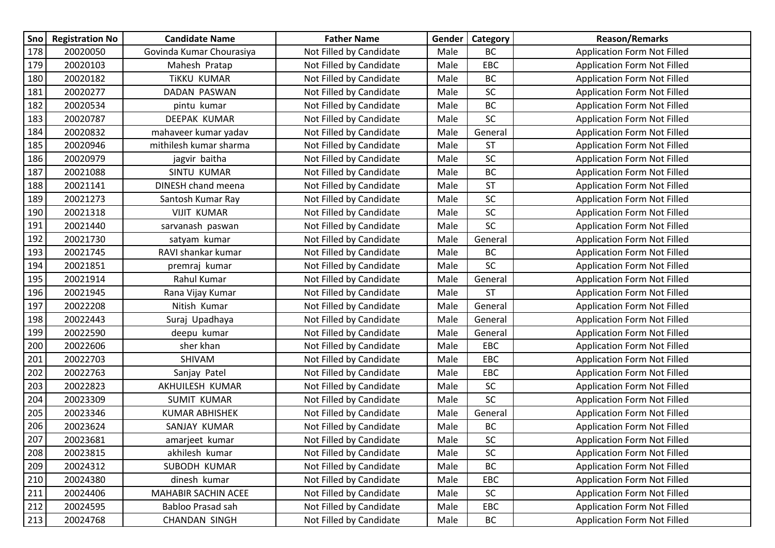| Sno | <b>Registration No</b> | <b>Candidate Name</b>      | <b>Father Name</b>      | Gender | Category  | <b>Reason/Remarks</b>              |
|-----|------------------------|----------------------------|-------------------------|--------|-----------|------------------------------------|
| 178 | 20020050               | Govinda Kumar Chourasiya   | Not Filled by Candidate | Male   | BC        | <b>Application Form Not Filled</b> |
| 179 | 20020103               | Mahesh Pratap              | Not Filled by Candidate | Male   | EBC       | Application Form Not Filled        |
| 180 | 20020182               | <b>TIKKU KUMAR</b>         | Not Filled by Candidate | Male   | <b>BC</b> | <b>Application Form Not Filled</b> |
| 181 | 20020277               | DADAN PASWAN               | Not Filled by Candidate | Male   | SC        | <b>Application Form Not Filled</b> |
| 182 | 20020534               | pintu kumar                | Not Filled by Candidate | Male   | <b>BC</b> | Application Form Not Filled        |
| 183 | 20020787               | DEEPAK KUMAR               | Not Filled by Candidate | Male   | SC        | <b>Application Form Not Filled</b> |
| 184 | 20020832               | mahaveer kumar yadav       | Not Filled by Candidate | Male   | General   | <b>Application Form Not Filled</b> |
| 185 | 20020946               | mithilesh kumar sharma     | Not Filled by Candidate | Male   | <b>ST</b> | <b>Application Form Not Filled</b> |
| 186 | 20020979               | jagvir baitha              | Not Filled by Candidate | Male   | SC        | <b>Application Form Not Filled</b> |
| 187 | 20021088               | SINTU KUMAR                | Not Filled by Candidate | Male   | <b>BC</b> | <b>Application Form Not Filled</b> |
| 188 | 20021141               | DINESH chand meena         | Not Filled by Candidate | Male   | <b>ST</b> | <b>Application Form Not Filled</b> |
| 189 | 20021273               | Santosh Kumar Ray          | Not Filled by Candidate | Male   | SC        | <b>Application Form Not Filled</b> |
| 190 | 20021318               | <b>VIJIT KUMAR</b>         | Not Filled by Candidate | Male   | SC        | <b>Application Form Not Filled</b> |
| 191 | 20021440               | sarvanash paswan           | Not Filled by Candidate | Male   | SC        | <b>Application Form Not Filled</b> |
| 192 | 20021730               | satyam kumar               | Not Filled by Candidate | Male   | General   | <b>Application Form Not Filled</b> |
| 193 | 20021745               | RAVI shankar kumar         | Not Filled by Candidate | Male   | BC        | <b>Application Form Not Filled</b> |
| 194 | 20021851               | premraj kumar              | Not Filled by Candidate | Male   | SC        | <b>Application Form Not Filled</b> |
| 195 | 20021914               | Rahul Kumar                | Not Filled by Candidate | Male   | General   | <b>Application Form Not Filled</b> |
| 196 | 20021945               | Rana Vijay Kumar           | Not Filled by Candidate | Male   | <b>ST</b> | <b>Application Form Not Filled</b> |
| 197 | 20022208               | Nitish Kumar               | Not Filled by Candidate | Male   | General   | <b>Application Form Not Filled</b> |
| 198 | 20022443               | Suraj Upadhaya             | Not Filled by Candidate | Male   | General   | <b>Application Form Not Filled</b> |
| 199 | 20022590               | deepu kumar                | Not Filled by Candidate | Male   | General   | <b>Application Form Not Filled</b> |
| 200 | 20022606               | sher khan                  | Not Filled by Candidate | Male   | EBC       | <b>Application Form Not Filled</b> |
| 201 | 20022703               | SHIVAM                     | Not Filled by Candidate | Male   | EBC       | Application Form Not Filled        |
| 202 | 20022763               | Sanjay Patel               | Not Filled by Candidate | Male   | EBC       | <b>Application Form Not Filled</b> |
| 203 | 20022823               | AKHUILESH KUMAR            | Not Filled by Candidate | Male   | <b>SC</b> | <b>Application Form Not Filled</b> |
| 204 | 20023309               | <b>SUMIT KUMAR</b>         | Not Filled by Candidate | Male   | SC        | <b>Application Form Not Filled</b> |
| 205 | 20023346               | <b>KUMAR ABHISHEK</b>      | Not Filled by Candidate | Male   | General   | <b>Application Form Not Filled</b> |
| 206 | 20023624               | SANJAY KUMAR               | Not Filled by Candidate | Male   | BC        | <b>Application Form Not Filled</b> |
| 207 | 20023681               | amarjeet kumar             | Not Filled by Candidate | Male   | SC        | <b>Application Form Not Filled</b> |
| 208 | 20023815               | akhilesh kumar             | Not Filled by Candidate | Male   | <b>SC</b> | <b>Application Form Not Filled</b> |
| 209 | 20024312               | SUBODH KUMAR               | Not Filled by Candidate | Male   | BC        | <b>Application Form Not Filled</b> |
| 210 | 20024380               | dinesh kumar               | Not Filled by Candidate | Male   | EBC       | Application Form Not Filled        |
| 211 | 20024406               | <b>MAHABIR SACHIN ACEE</b> | Not Filled by Candidate | Male   | SC        | <b>Application Form Not Filled</b> |
| 212 | 20024595               | Babloo Prasad sah          | Not Filled by Candidate | Male   | EBC       | <b>Application Form Not Filled</b> |
| 213 | 20024768               | <b>CHANDAN SINGH</b>       | Not Filled by Candidate | Male   | BC        | <b>Application Form Not Filled</b> |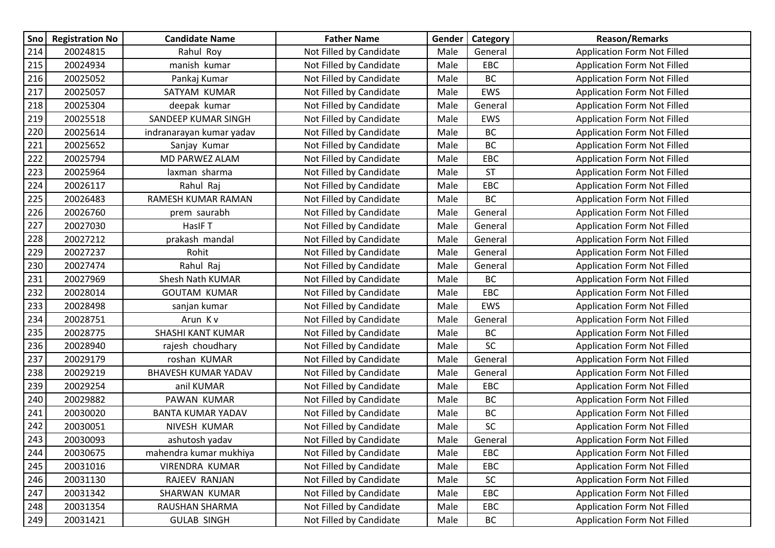| Sno | <b>Registration No</b> | <b>Candidate Name</b>      | <b>Father Name</b>      | Gender | Category  | <b>Reason/Remarks</b>              |
|-----|------------------------|----------------------------|-------------------------|--------|-----------|------------------------------------|
| 214 | 20024815               | Rahul Roy                  | Not Filled by Candidate | Male   | General   | <b>Application Form Not Filled</b> |
| 215 | 20024934               | manish kumar               | Not Filled by Candidate | Male   | EBC       | Application Form Not Filled        |
| 216 | 20025052               | Pankaj Kumar               | Not Filled by Candidate | Male   | <b>BC</b> | <b>Application Form Not Filled</b> |
| 217 | 20025057               | SATYAM KUMAR               | Not Filled by Candidate | Male   | EWS       | <b>Application Form Not Filled</b> |
| 218 | 20025304               | deepak kumar               | Not Filled by Candidate | Male   | General   | <b>Application Form Not Filled</b> |
| 219 | 20025518               | SANDEEP KUMAR SINGH        | Not Filled by Candidate | Male   | EWS       | <b>Application Form Not Filled</b> |
| 220 | 20025614               | indranarayan kumar yadav   | Not Filled by Candidate | Male   | BC        | <b>Application Form Not Filled</b> |
| 221 | 20025652               | Sanjay Kumar               | Not Filled by Candidate | Male   | <b>BC</b> | <b>Application Form Not Filled</b> |
| 222 | 20025794               | MD PARWEZ ALAM             | Not Filled by Candidate | Male   | EBC       | <b>Application Form Not Filled</b> |
| 223 | 20025964               | laxman sharma              | Not Filled by Candidate | Male   | <b>ST</b> | <b>Application Form Not Filled</b> |
| 224 | 20026117               | Rahul Raj                  | Not Filled by Candidate | Male   | EBC       | <b>Application Form Not Filled</b> |
| 225 | 20026483               | RAMESH KUMAR RAMAN         | Not Filled by Candidate | Male   | BC        | <b>Application Form Not Filled</b> |
| 226 | 20026760               | prem saurabh               | Not Filled by Candidate | Male   | General   | <b>Application Form Not Filled</b> |
| 227 | 20027030               | HasIF T                    | Not Filled by Candidate | Male   | General   | <b>Application Form Not Filled</b> |
| 228 | 20027212               | prakash mandal             | Not Filled by Candidate | Male   | General   | <b>Application Form Not Filled</b> |
| 229 | 20027237               | Rohit                      | Not Filled by Candidate | Male   | General   | <b>Application Form Not Filled</b> |
| 230 | 20027474               | Rahul Raj                  | Not Filled by Candidate | Male   | General   | Application Form Not Filled        |
| 231 | 20027969               | Shesh Nath KUMAR           | Not Filled by Candidate | Male   | BC        | <b>Application Form Not Filled</b> |
| 232 | 20028014               | <b>GOUTAM KUMAR</b>        | Not Filled by Candidate | Male   | EBC       | <b>Application Form Not Filled</b> |
| 233 | 20028498               | sanjan kumar               | Not Filled by Candidate | Male   | EWS       | <b>Application Form Not Filled</b> |
| 234 | 20028751               | Arun Kv                    | Not Filled by Candidate | Male   | General   | <b>Application Form Not Filled</b> |
| 235 | 20028775               | SHASHI KANT KUMAR          | Not Filled by Candidate | Male   | <b>BC</b> | <b>Application Form Not Filled</b> |
| 236 | 20028940               | rajesh choudhary           | Not Filled by Candidate | Male   | SC        | <b>Application Form Not Filled</b> |
| 237 | 20029179               | roshan KUMAR               | Not Filled by Candidate | Male   | General   | <b>Application Form Not Filled</b> |
| 238 | 20029219               | <b>BHAVESH KUMAR YADAV</b> | Not Filled by Candidate | Male   | General   | <b>Application Form Not Filled</b> |
| 239 | 20029254               | anil KUMAR                 | Not Filled by Candidate | Male   | EBC       | <b>Application Form Not Filled</b> |
| 240 | 20029882               | PAWAN KUMAR                | Not Filled by Candidate | Male   | BC        | <b>Application Form Not Filled</b> |
| 241 | 20030020               | <b>BANTA KUMAR YADAV</b>   | Not Filled by Candidate | Male   | BC        | <b>Application Form Not Filled</b> |
| 242 | 20030051               | NIVESH KUMAR               | Not Filled by Candidate | Male   | SC        | <b>Application Form Not Filled</b> |
| 243 | 20030093               | ashutosh yadav             | Not Filled by Candidate | Male   | General   | <b>Application Form Not Filled</b> |
| 244 | 20030675               | mahendra kumar mukhiya     | Not Filled by Candidate | Male   | EBC       | <b>Application Form Not Filled</b> |
| 245 | 20031016               | VIRENDRA KUMAR             | Not Filled by Candidate | Male   | EBC       | <b>Application Form Not Filled</b> |
| 246 | 20031130               | RAJEEV RANJAN              | Not Filled by Candidate | Male   | SC        | <b>Application Form Not Filled</b> |
| 247 | 20031342               | SHARWAN KUMAR              | Not Filled by Candidate | Male   | EBC       | <b>Application Form Not Filled</b> |
| 248 | 20031354               | RAUSHAN SHARMA             | Not Filled by Candidate | Male   | EBC       | <b>Application Form Not Filled</b> |
| 249 | 20031421               | <b>GULAB SINGH</b>         | Not Filled by Candidate | Male   | BC        | Application Form Not Filled        |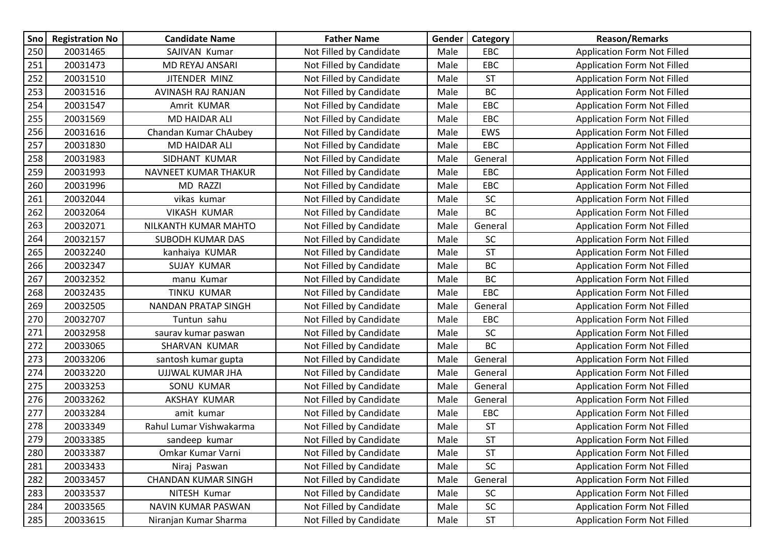| Sno | <b>Registration No</b> | <b>Candidate Name</b>      | <b>Father Name</b>      | Gender | Category                          | <b>Reason/Remarks</b>              |
|-----|------------------------|----------------------------|-------------------------|--------|-----------------------------------|------------------------------------|
| 250 | 20031465               | SAJIVAN Kumar              | Not Filled by Candidate | Male   | <b>EBC</b>                        | <b>Application Form Not Filled</b> |
| 251 | 20031473               | MD REYAJ ANSARI            | Not Filled by Candidate | Male   | EBC                               | Application Form Not Filled        |
| 252 | 20031510               | JITENDER MINZ              | Not Filled by Candidate | Male   | <b>ST</b>                         | <b>Application Form Not Filled</b> |
| 253 | 20031516               | AVINASH RAJ RANJAN         | Not Filled by Candidate | Male   | BC                                | <b>Application Form Not Filled</b> |
| 254 | 20031547               | Amrit KUMAR                | Not Filled by Candidate | Male   | EBC                               | <b>Application Form Not Filled</b> |
| 255 | 20031569               | <b>MD HAIDAR ALI</b>       | Not Filled by Candidate | Male   | EBC                               | <b>Application Form Not Filled</b> |
| 256 | 20031616               | Chandan Kumar ChAubey      | Not Filled by Candidate | Male   | EWS                               | <b>Application Form Not Filled</b> |
| 257 | 20031830               | MD HAIDAR ALI              | Not Filled by Candidate | Male   | EBC                               | <b>Application Form Not Filled</b> |
| 258 | 20031983               | SIDHANT KUMAR              | Not Filled by Candidate | Male   | General                           | <b>Application Form Not Filled</b> |
| 259 | 20031993               | NAVNEET KUMAR THAKUR       | Not Filled by Candidate | Male   | EBC                               | <b>Application Form Not Filled</b> |
| 260 | 20031996               | MD RAZZI                   | Not Filled by Candidate | Male   | EBC                               | <b>Application Form Not Filled</b> |
| 261 | 20032044               | vikas kumar                | Not Filled by Candidate | Male   | <b>SC</b>                         | <b>Application Form Not Filled</b> |
| 262 | 20032064               | <b>VIKASH KUMAR</b>        | Not Filled by Candidate | Male   | BC                                | <b>Application Form Not Filled</b> |
| 263 | 20032071               | NILKANTH KUMAR MAHTO       | Not Filled by Candidate | Male   | General                           | <b>Application Form Not Filled</b> |
| 264 | 20032157               | <b>SUBODH KUMAR DAS</b>    | Not Filled by Candidate | Male   | SC                                | <b>Application Form Not Filled</b> |
| 265 | 20032240               | kanhaiya KUMAR             | Not Filled by Candidate | Male   | <b>ST</b>                         | Application Form Not Filled        |
| 266 | 20032347               | <b>SUJAY KUMAR</b>         | Not Filled by Candidate | Male   | <b>BC</b>                         | <b>Application Form Not Filled</b> |
| 267 | 20032352               | manu Kumar                 | Not Filled by Candidate | Male   | BC                                | <b>Application Form Not Filled</b> |
| 268 | 20032435               | <b>TINKU KUMAR</b>         | Not Filled by Candidate | Male   | EBC                               | <b>Application Form Not Filled</b> |
| 269 | 20032505               | NANDAN PRATAP SINGH        | Not Filled by Candidate | Male   | General                           | <b>Application Form Not Filled</b> |
| 270 | 20032707               | Tuntun sahu                | Not Filled by Candidate | Male   | EBC                               | Application Form Not Filled        |
| 271 | 20032958               | saurav kumar paswan        | Not Filled by Candidate | Male   | SC                                | <b>Application Form Not Filled</b> |
| 272 | 20033065               | SHARVAN KUMAR              | Not Filled by Candidate | Male   | <b>BC</b>                         | <b>Application Form Not Filled</b> |
| 273 | 20033206               | santosh kumar gupta        | Not Filled by Candidate | Male   | General                           | <b>Application Form Not Filled</b> |
| 274 | 20033220               | <b>UJJWAL KUMAR JHA</b>    | Not Filled by Candidate | Male   | General                           | <b>Application Form Not Filled</b> |
| 275 | 20033253               | SONU KUMAR                 | Not Filled by Candidate | Male   | General                           | <b>Application Form Not Filled</b> |
| 276 | 20033262               | AKSHAY KUMAR               | Not Filled by Candidate | Male   | General                           | <b>Application Form Not Filled</b> |
| 277 | 20033284               | amit kumar                 | Not Filled by Candidate | Male   | EBC                               | <b>Application Form Not Filled</b> |
| 278 | 20033349               | Rahul Lumar Vishwakarma    | Not Filled by Candidate | Male   | <b>ST</b>                         | <b>Application Form Not Filled</b> |
| 279 | 20033385               | sandeep kumar              | Not Filled by Candidate | Male   | <b>ST</b>                         | <b>Application Form Not Filled</b> |
| 280 | 20033387               | Omkar Kumar Varni          | Not Filled by Candidate | Male   | <b>ST</b>                         | <b>Application Form Not Filled</b> |
| 281 | 20033433               | Niraj Paswan               | Not Filled by Candidate | Male   | ${\sf SC}$                        | <b>Application Form Not Filled</b> |
| 282 | 20033457               | <b>CHANDAN KUMAR SINGH</b> | Not Filled by Candidate | Male   | General                           | Application Form Not Filled        |
| 283 | 20033537               | NITESH Kumar               | Not Filled by Candidate | Male   | SC                                | Application Form Not Filled        |
| 284 | 20033565               | NAVIN KUMAR PASWAN         | Not Filled by Candidate | Male   | SC                                | <b>Application Form Not Filled</b> |
| 285 | 20033615               | Niranjan Kumar Sharma      | Not Filled by Candidate | Male   | $\ensuremath{\mathsf{ST}}\xspace$ | <b>Application Form Not Filled</b> |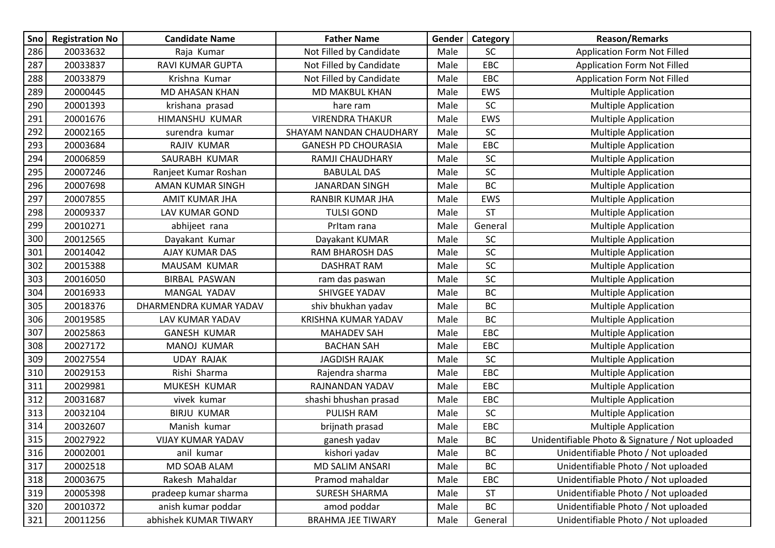| Sno | <b>Registration No</b> | <b>Candidate Name</b>  | <b>Father Name</b>         | Gender | Category  | <b>Reason/Remarks</b>                           |
|-----|------------------------|------------------------|----------------------------|--------|-----------|-------------------------------------------------|
| 286 | 20033632               | Raja Kumar             | Not Filled by Candidate    | Male   | <b>SC</b> | <b>Application Form Not Filled</b>              |
| 287 | 20033837               | RAVI KUMAR GUPTA       | Not Filled by Candidate    | Male   | EBC       | <b>Application Form Not Filled</b>              |
| 288 | 20033879               | Krishna Kumar          | Not Filled by Candidate    | Male   | EBC       | <b>Application Form Not Filled</b>              |
| 289 | 20000445               | MD AHASAN KHAN         | MD MAKBUL KHAN             | Male   | EWS       | <b>Multiple Application</b>                     |
| 290 | 20001393               | krishana prasad        | hare ram                   | Male   | <b>SC</b> | <b>Multiple Application</b>                     |
| 291 | 20001676               | HIMANSHU KUMAR         | <b>VIRENDRA THAKUR</b>     | Male   | EWS       | <b>Multiple Application</b>                     |
| 292 | 20002165               | surendra kumar         | SHAYAM NANDAN CHAUDHARY    | Male   | <b>SC</b> | <b>Multiple Application</b>                     |
| 293 | 20003684               | RAJIV KUMAR            | <b>GANESH PD CHOURASIA</b> | Male   | EBC       | <b>Multiple Application</b>                     |
| 294 | 20006859               | SAURABH KUMAR          | RAMJI CHAUDHARY            | Male   | <b>SC</b> | <b>Multiple Application</b>                     |
| 295 | 20007246               | Ranjeet Kumar Roshan   | <b>BABULAL DAS</b>         | Male   | SC        | <b>Multiple Application</b>                     |
| 296 | 20007698               | AMAN KUMAR SINGH       | <b>JANARDAN SINGH</b>      | Male   | <b>BC</b> | <b>Multiple Application</b>                     |
| 297 | 20007855               | <b>AMIT KUMAR JHA</b>  | RANBIR KUMAR JHA           | Male   | EWS       | <b>Multiple Application</b>                     |
| 298 | 20009337               | LAV KUMAR GOND         | <b>TULSI GOND</b>          | Male   | <b>ST</b> | <b>Multiple Application</b>                     |
| 299 | 20010271               | abhijeet rana          | Pritam rana                | Male   | General   | <b>Multiple Application</b>                     |
| 300 | 20012565               | Dayakant Kumar         | Dayakant KUMAR             | Male   | SC        | <b>Multiple Application</b>                     |
| 301 | 20014042               | AJAY KUMAR DAS         | <b>RAM BHAROSH DAS</b>     | Male   | SC        | <b>Multiple Application</b>                     |
| 302 | 20015388               | MAUSAM KUMAR           | <b>DASHRAT RAM</b>         | Male   | SC        | <b>Multiple Application</b>                     |
| 303 | 20016050               | <b>BIRBAL PASWAN</b>   | ram das paswan             | Male   | SC        | <b>Multiple Application</b>                     |
| 304 | 20016933               | MANGAL YADAV           | <b>SHIVGEE YADAV</b>       | Male   | <b>BC</b> | <b>Multiple Application</b>                     |
| 305 | 20018376               | DHARMENDRA KUMAR YADAV | shiv bhukhan yadav         | Male   | BC        | <b>Multiple Application</b>                     |
| 306 | 20019585               | LAV KUMAR YADAV        | <b>KRISHNA KUMAR YADAV</b> | Male   | BC        | <b>Multiple Application</b>                     |
| 307 | 20025863               | <b>GANESH KUMAR</b>    | <b>MAHADEV SAH</b>         | Male   | EBC       | <b>Multiple Application</b>                     |
| 308 | 20027172               | MANOJ KUMAR            | <b>BACHAN SAH</b>          | Male   | EBC       | <b>Multiple Application</b>                     |
| 309 | 20027554               | <b>UDAY RAJAK</b>      | <b>JAGDISH RAJAK</b>       | Male   | SC        | <b>Multiple Application</b>                     |
| 310 | 20029153               | Rishi Sharma           | Rajendra sharma            | Male   | EBC       | <b>Multiple Application</b>                     |
| 311 | 20029981               | MUKESH KUMAR           | RAJNANDAN YADAV            | Male   | EBC       | <b>Multiple Application</b>                     |
| 312 | 20031687               | vivek kumar            | shashi bhushan prasad      | Male   | EBC       | <b>Multiple Application</b>                     |
| 313 | 20032104               | <b>BIRJU KUMAR</b>     | <b>PULISH RAM</b>          | Male   | <b>SC</b> | <b>Multiple Application</b>                     |
| 314 | 20032607               | Manish kumar           | brijnath prasad            | Male   | EBC       | <b>Multiple Application</b>                     |
| 315 | 20027922               | VIJAY KUMAR YADAV      | ganesh yadav               | Male   | BC        | Unidentifiable Photo & Signature / Not uploaded |
| 316 | 20002001               | anil kumar             | kishori yadav              | Male   | BC        | Unidentifiable Photo / Not uploaded             |
| 317 | 20002518               | MD SOAB ALAM           | MD SALIM ANSARI            | Male   | BC        | Unidentifiable Photo / Not uploaded             |
| 318 | 20003675               | Rakesh Mahaldar        | Pramod mahaldar            | Male   | EBC       | Unidentifiable Photo / Not uploaded             |
| 319 | 20005398               | pradeep kumar sharma   | <b>SURESH SHARMA</b>       | Male   | <b>ST</b> | Unidentifiable Photo / Not uploaded             |
| 320 | 20010372               | anish kumar poddar     | amod poddar                | Male   | BC        | Unidentifiable Photo / Not uploaded             |
| 321 | 20011256               | abhishek KUMAR TIWARY  | <b>BRAHMA JEE TIWARY</b>   | Male   | General   | Unidentifiable Photo / Not uploaded             |